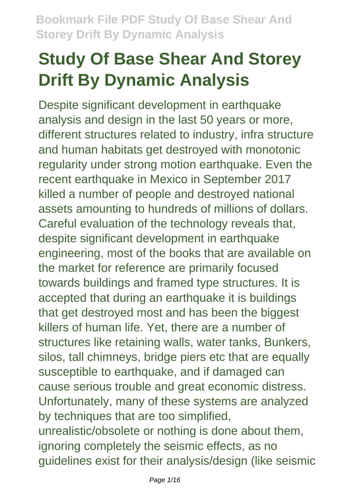# **Study Of Base Shear And Storey Drift By Dynamic Analysis**

Despite significant development in earthquake analysis and design in the last 50 years or more, different structures related to industry, infra structure and human habitats get destroyed with monotonic regularity under strong motion earthquake. Even the recent earthquake in Mexico in September 2017 killed a number of people and destroyed national assets amounting to hundreds of millions of dollars. Careful evaluation of the technology reveals that, despite significant development in earthquake engineering, most of the books that are available on the market for reference are primarily focused towards buildings and framed type structures. It is accepted that during an earthquake it is buildings that get destroyed most and has been the biggest killers of human life. Yet, there are a number of structures like retaining walls, water tanks, Bunkers, silos, tall chimneys, bridge piers etc that are equally susceptible to earthquake, and if damaged can cause serious trouble and great economic distress. Unfortunately, many of these systems are analyzed by techniques that are too simplified, unrealistic/obsolete or nothing is done about them, ignoring completely the seismic effects, as no guidelines exist for their analysis/design (like seismic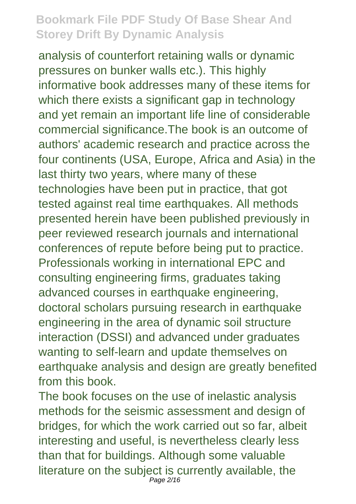analysis of counterfort retaining walls or dynamic pressures on bunker walls etc.). This highly informative book addresses many of these items for which there exists a significant gap in technology and yet remain an important life line of considerable commercial significance.The book is an outcome of authors' academic research and practice across the four continents (USA, Europe, Africa and Asia) in the last thirty two years, where many of these technologies have been put in practice, that got tested against real time earthquakes. All methods presented herein have been published previously in peer reviewed research journals and international conferences of repute before being put to practice. Professionals working in international EPC and consulting engineering firms, graduates taking advanced courses in earthquake engineering, doctoral scholars pursuing research in earthquake engineering in the area of dynamic soil structure interaction (DSSI) and advanced under graduates wanting to self-learn and update themselves on earthquake analysis and design are greatly benefited from this book.

The book focuses on the use of inelastic analysis methods for the seismic assessment and design of bridges, for which the work carried out so far, albeit interesting and useful, is nevertheless clearly less than that for buildings. Although some valuable literature on the subject is currently available, the Page 2/16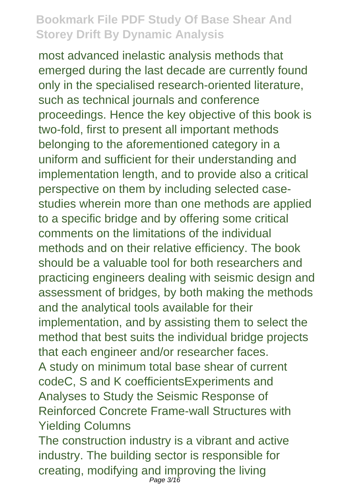most advanced inelastic analysis methods that emerged during the last decade are currently found only in the specialised research-oriented literature, such as technical journals and conference proceedings. Hence the key objective of this book is two-fold, first to present all important methods belonging to the aforementioned category in a uniform and sufficient for their understanding and implementation length, and to provide also a critical perspective on them by including selected casestudies wherein more than one methods are applied to a specific bridge and by offering some critical comments on the limitations of the individual methods and on their relative efficiency. The book should be a valuable tool for both researchers and practicing engineers dealing with seismic design and assessment of bridges, by both making the methods and the analytical tools available for their implementation, and by assisting them to select the method that best suits the individual bridge projects that each engineer and/or researcher faces. A study on minimum total base shear of current codeC, S and K coefficientsExperiments and Analyses to Study the Seismic Response of Reinforced Concrete Frame-wall Structures with Yielding Columns The construction industry is a vibrant and active

industry. The building sector is responsible for creating, modifying and improving the living Page  $3/16$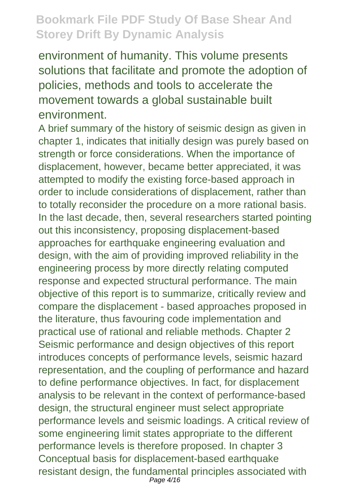environment of humanity. This volume presents solutions that facilitate and promote the adoption of policies, methods and tools to accelerate the movement towards a global sustainable built environment.

A brief summary of the history of seismic design as given in chapter 1, indicates that initially design was purely based on strength or force considerations. When the importance of displacement, however, became better appreciated, it was attempted to modify the existing force-based approach in order to include considerations of displacement, rather than to totally reconsider the procedure on a more rational basis. In the last decade, then, several researchers started pointing out this inconsistency, proposing displacement-based approaches for earthquake engineering evaluation and design, with the aim of providing improved reliability in the engineering process by more directly relating computed response and expected structural performance. The main objective of this report is to summarize, critically review and compare the displacement - based approaches proposed in the literature, thus favouring code implementation and practical use of rational and reliable methods. Chapter 2 Seismic performance and design objectives of this report introduces concepts of performance levels, seismic hazard representation, and the coupling of performance and hazard to define performance objectives. In fact, for displacement analysis to be relevant in the context of performance-based design, the structural engineer must select appropriate performance levels and seismic loadings. A critical review of some engineering limit states appropriate to the different performance levels is therefore proposed. In chapter 3 Conceptual basis for displacement-based earthquake resistant design, the fundamental principles associated with Page 4/16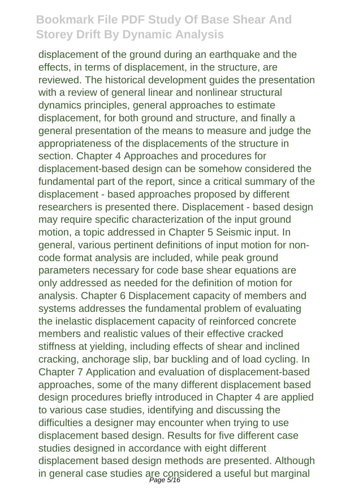displacement of the ground during an earthquake and the effects, in terms of displacement, in the structure, are reviewed. The historical development guides the presentation with a review of general linear and nonlinear structural dynamics principles, general approaches to estimate displacement, for both ground and structure, and finally a general presentation of the means to measure and judge the appropriateness of the displacements of the structure in section. Chapter 4 Approaches and procedures for displacement-based design can be somehow considered the fundamental part of the report, since a critical summary of the displacement - based approaches proposed by different researchers is presented there. Displacement - based design may require specific characterization of the input ground motion, a topic addressed in Chapter 5 Seismic input. In general, various pertinent definitions of input motion for noncode format analysis are included, while peak ground parameters necessary for code base shear equations are only addressed as needed for the definition of motion for analysis. Chapter 6 Displacement capacity of members and systems addresses the fundamental problem of evaluating the inelastic displacement capacity of reinforced concrete members and realistic values of their effective cracked stiffness at yielding, including effects of shear and inclined cracking, anchorage slip, bar buckling and of load cycling. In Chapter 7 Application and evaluation of displacement-based approaches, some of the many different displacement based design procedures briefly introduced in Chapter 4 are applied to various case studies, identifying and discussing the difficulties a designer may encounter when trying to use displacement based design. Results for five different case studies designed in accordance with eight different displacement based design methods are presented. Although in general case studies are considered a useful but marginal Page 5/16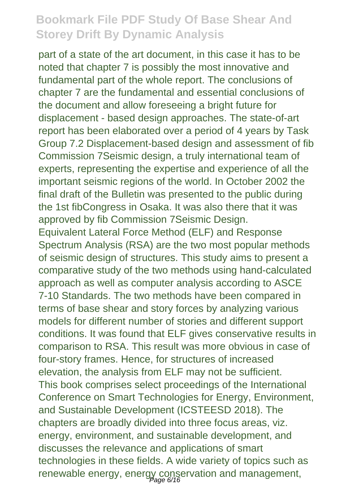part of a state of the art document, in this case it has to be noted that chapter 7 is possibly the most innovative and fundamental part of the whole report. The conclusions of chapter 7 are the fundamental and essential conclusions of the document and allow foreseeing a bright future for displacement - based design approaches. The state-of-art report has been elaborated over a period of 4 years by Task Group 7.2 Displacement-based design and assessment of fib Commission 7Seismic design, a truly international team of experts, representing the expertise and experience of all the important seismic regions of the world. In October 2002 the final draft of the Bulletin was presented to the public during the 1st fibCongress in Osaka. It was also there that it was approved by fib Commission 7Seismic Design. Equivalent Lateral Force Method (ELF) and Response Spectrum Analysis (RSA) are the two most popular methods of seismic design of structures. This study aims to present a comparative study of the two methods using hand-calculated approach as well as computer analysis according to ASCE 7-10 Standards. The two methods have been compared in terms of base shear and story forces by analyzing various models for different number of stories and different support conditions. It was found that ELF gives conservative results in comparison to RSA. This result was more obvious in case of four-story frames. Hence, for structures of increased elevation, the analysis from ELF may not be sufficient. This book comprises select proceedings of the International Conference on Smart Technologies for Energy, Environment, and Sustainable Development (ICSTEESD 2018). The chapters are broadly divided into three focus areas, viz. energy, environment, and sustainable development, and discusses the relevance and applications of smart technologies in these fields. A wide variety of topics such as renewable energy, energy conservation and management,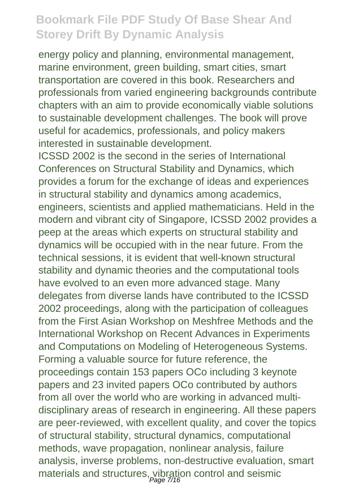energy policy and planning, environmental management, marine environment, green building, smart cities, smart transportation are covered in this book. Researchers and professionals from varied engineering backgrounds contribute chapters with an aim to provide economically viable solutions to sustainable development challenges. The book will prove useful for academics, professionals, and policy makers interested in sustainable development.

ICSSD 2002 is the second in the series of International Conferences on Structural Stability and Dynamics, which provides a forum for the exchange of ideas and experiences in structural stability and dynamics among academics, engineers, scientists and applied mathematicians. Held in the modern and vibrant city of Singapore, ICSSD 2002 provides a peep at the areas which experts on structural stability and dynamics will be occupied with in the near future. From the technical sessions, it is evident that well-known structural stability and dynamic theories and the computational tools have evolved to an even more advanced stage. Many delegates from diverse lands have contributed to the ICSSD 2002 proceedings, along with the participation of colleagues from the First Asian Workshop on Meshfree Methods and the International Workshop on Recent Advances in Experiments and Computations on Modeling of Heterogeneous Systems. Forming a valuable source for future reference, the proceedings contain 153 papers OCo including 3 keynote papers and 23 invited papers OCo contributed by authors from all over the world who are working in advanced multidisciplinary areas of research in engineering. All these papers are peer-reviewed, with excellent quality, and cover the topics of structural stability, structural dynamics, computational methods, wave propagation, nonlinear analysis, failure analysis, inverse problems, non-destructive evaluation, smart materials and structures, vibration control and seismic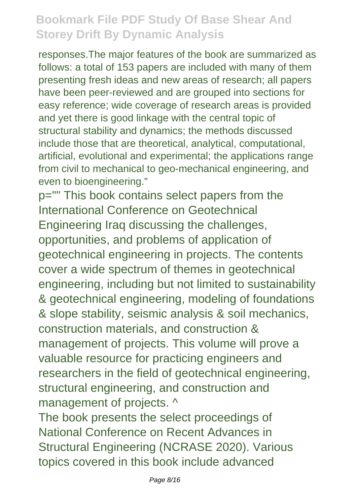responses.The major features of the book are summarized as follows: a total of 153 papers are included with many of them presenting fresh ideas and new areas of research; all papers have been peer-reviewed and are grouped into sections for easy reference; wide coverage of research areas is provided and yet there is good linkage with the central topic of structural stability and dynamics; the methods discussed include those that are theoretical, analytical, computational, artificial, evolutional and experimental; the applications range from civil to mechanical to geo-mechanical engineering, and even to bioengineering."

p="" This book contains select papers from the International Conference on Geotechnical Engineering Iraq discussing the challenges, opportunities, and problems of application of geotechnical engineering in projects. The contents cover a wide spectrum of themes in geotechnical engineering, including but not limited to sustainability & geotechnical engineering, modeling of foundations & slope stability, seismic analysis & soil mechanics, construction materials, and construction & management of projects. This volume will prove a valuable resource for practicing engineers and researchers in the field of geotechnical engineering, structural engineering, and construction and management of projects. ^

The book presents the select proceedings of National Conference on Recent Advances in Structural Engineering (NCRASE 2020). Various topics covered in this book include advanced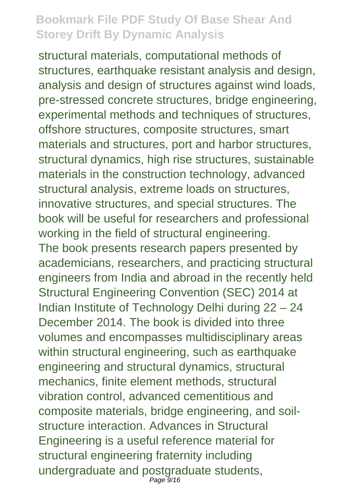structural materials, computational methods of structures, earthquake resistant analysis and design, analysis and design of structures against wind loads, pre-stressed concrete structures, bridge engineering, experimental methods and techniques of structures, offshore structures, composite structures, smart materials and structures, port and harbor structures, structural dynamics, high rise structures, sustainable materials in the construction technology, advanced structural analysis, extreme loads on structures, innovative structures, and special structures. The book will be useful for researchers and professional working in the field of structural engineering. The book presents research papers presented by academicians, researchers, and practicing structural engineers from India and abroad in the recently held Structural Engineering Convention (SEC) 2014 at Indian Institute of Technology Delhi during 22 – 24 December 2014. The book is divided into three volumes and encompasses multidisciplinary areas within structural engineering, such as earthquake engineering and structural dynamics, structural mechanics, finite element methods, structural vibration control, advanced cementitious and composite materials, bridge engineering, and soilstructure interaction. Advances in Structural Engineering is a useful reference material for structural engineering fraternity including undergraduate and postgraduate students, Page 9/16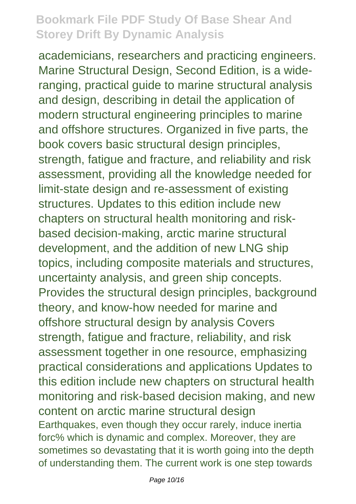academicians, researchers and practicing engineers. Marine Structural Design, Second Edition, is a wideranging, practical guide to marine structural analysis and design, describing in detail the application of modern structural engineering principles to marine and offshore structures. Organized in five parts, the book covers basic structural design principles, strength, fatigue and fracture, and reliability and risk assessment, providing all the knowledge needed for limit-state design and re-assessment of existing structures. Updates to this edition include new chapters on structural health monitoring and riskbased decision-making, arctic marine structural development, and the addition of new LNG ship topics, including composite materials and structures, uncertainty analysis, and green ship concepts. Provides the structural design principles, background theory, and know-how needed for marine and offshore structural design by analysis Covers strength, fatigue and fracture, reliability, and risk assessment together in one resource, emphasizing practical considerations and applications Updates to this edition include new chapters on structural health monitoring and risk-based decision making, and new content on arctic marine structural design Earthquakes, even though they occur rarely, induce inertia forc% which is dynamic and complex. Moreover, they are sometimes so devastating that it is worth going into the depth of understanding them. The current work is one step towards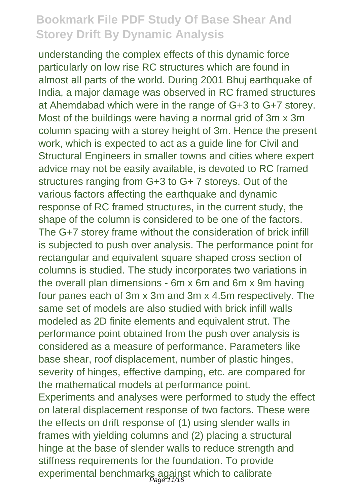understanding the complex effects of this dynamic force particularly on low rise RC structures which are found in almost all parts of the world. During 2001 Bhuj earthquake of India, a major damage was observed in RC framed structures at Ahemdabad which were in the range of G+3 to G+7 storey. Most of the buildings were having a normal grid of 3m x 3m column spacing with a storey height of 3m. Hence the present work, which is expected to act as a guide line for Civil and Structural Engineers in smaller towns and cities where expert advice may not be easily available, is devoted to RC framed structures ranging from G+3 to G+ 7 storeys. Out of the various factors affecting the earthquake and dynamic response of RC framed structures, in the current study, the shape of the column is considered to be one of the factors. The G+7 storey frame without the consideration of brick infill is subjected to push over analysis. The performance point for rectangular and equivalent square shaped cross section of columns is studied. The study incorporates two variations in the overall plan dimensions - 6m x 6m and 6m x 9m having four panes each of 3m x 3m and 3m x 4.5m respectively. The same set of models are also studied with brick infill walls modeled as 2D finite elements and equivalent strut. The performance point obtained from the push over analysis is considered as a measure of performance. Parameters like base shear, roof displacement, number of plastic hinges, severity of hinges, effective damping, etc. are compared for the mathematical models at performance point. Experiments and analyses were performed to study the effect on lateral displacement response of two factors. These were the effects on drift response of (1) using slender walls in frames with yielding columns and (2) placing a structural hinge at the base of slender walls to reduce strength and stiffness requirements for the foundation. To provide experimental benchmarks against which to calibrate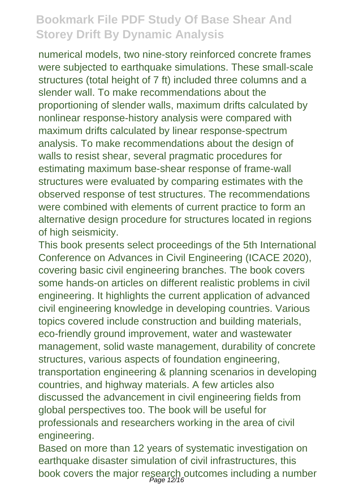numerical models, two nine-story reinforced concrete frames were subjected to earthquake simulations. These small-scale structures (total height of 7 ft) included three columns and a slender wall. To make recommendations about the proportioning of slender walls, maximum drifts calculated by nonlinear response-history analysis were compared with maximum drifts calculated by linear response-spectrum analysis. To make recommendations about the design of walls to resist shear, several pragmatic procedures for estimating maximum base-shear response of frame-wall structures were evaluated by comparing estimates with the observed response of test structures. The recommendations were combined with elements of current practice to form an alternative design procedure for structures located in regions of high seismicity.

This book presents select proceedings of the 5th International Conference on Advances in Civil Engineering (ICACE 2020), covering basic civil engineering branches. The book covers some hands-on articles on different realistic problems in civil engineering. It highlights the current application of advanced civil engineering knowledge in developing countries. Various topics covered include construction and building materials, eco-friendly ground improvement, water and wastewater management, solid waste management, durability of concrete structures, various aspects of foundation engineering, transportation engineering & planning scenarios in developing countries, and highway materials. A few articles also discussed the advancement in civil engineering fields from global perspectives too. The book will be useful for professionals and researchers working in the area of civil engineering.

Based on more than 12 years of systematic investigation on earthquake disaster simulation of civil infrastructures, this book covers the major research outcomes including a number<br>Page 12/16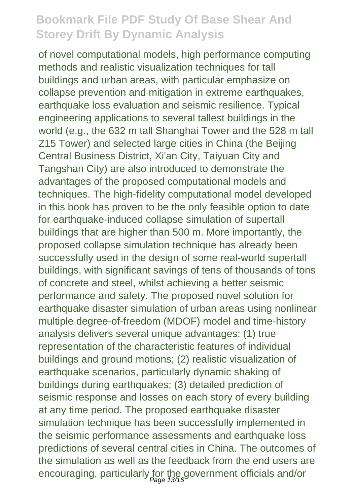of novel computational models, high performance computing methods and realistic visualization techniques for tall buildings and urban areas, with particular emphasize on collapse prevention and mitigation in extreme earthquakes, earthquake loss evaluation and seismic resilience. Typical engineering applications to several tallest buildings in the world (e.g., the 632 m tall Shanghai Tower and the 528 m tall Z15 Tower) and selected large cities in China (the Beijing Central Business District, Xi'an City, Taiyuan City and Tangshan City) are also introduced to demonstrate the advantages of the proposed computational models and techniques. The high-fidelity computational model developed in this book has proven to be the only feasible option to date for earthquake-induced collapse simulation of supertall buildings that are higher than 500 m. More importantly, the proposed collapse simulation technique has already been successfully used in the design of some real-world supertall buildings, with significant savings of tens of thousands of tons of concrete and steel, whilst achieving a better seismic performance and safety. The proposed novel solution for earthquake disaster simulation of urban areas using nonlinear multiple degree-of-freedom (MDOF) model and time-history analysis delivers several unique advantages: (1) true representation of the characteristic features of individual buildings and ground motions; (2) realistic visualization of earthquake scenarios, particularly dynamic shaking of buildings during earthquakes; (3) detailed prediction of seismic response and losses on each story of every building at any time period. The proposed earthquake disaster simulation technique has been successfully implemented in the seismic performance assessments and earthquake loss predictions of several central cities in China. The outcomes of the simulation as well as the feedback from the end users are encouraging, particularly for the government officials and/or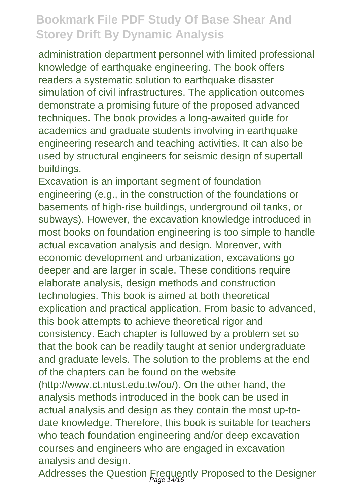administration department personnel with limited professional knowledge of earthquake engineering. The book offers readers a systematic solution to earthquake disaster simulation of civil infrastructures. The application outcomes demonstrate a promising future of the proposed advanced techniques. The book provides a long-awaited guide for academics and graduate students involving in earthquake engineering research and teaching activities. It can also be used by structural engineers for seismic design of supertall buildings.

Excavation is an important segment of foundation engineering (e.g., in the construction of the foundations or basements of high-rise buildings, underground oil tanks, or subways). However, the excavation knowledge introduced in most books on foundation engineering is too simple to handle actual excavation analysis and design. Moreover, with economic development and urbanization, excavations go deeper and are larger in scale. These conditions require elaborate analysis, design methods and construction technologies. This book is aimed at both theoretical explication and practical application. From basic to advanced, this book attempts to achieve theoretical rigor and consistency. Each chapter is followed by a problem set so that the book can be readily taught at senior undergraduate and graduate levels. The solution to the problems at the end of the chapters can be found on the website (http://www.ct.ntust.edu.tw/ou/). On the other hand, the analysis methods introduced in the book can be used in actual analysis and design as they contain the most up-todate knowledge. Therefore, this book is suitable for teachers who teach foundation engineering and/or deep excavation courses and engineers who are engaged in excavation analysis and design.

Addresses the Question Frequently Proposed to the Designer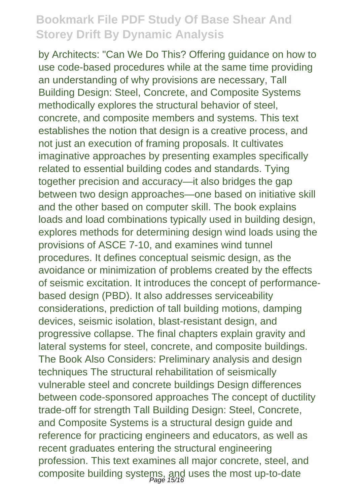by Architects: "Can We Do This? Offering guidance on how to use code-based procedures while at the same time providing an understanding of why provisions are necessary, Tall Building Design: Steel, Concrete, and Composite Systems methodically explores the structural behavior of steel, concrete, and composite members and systems. This text establishes the notion that design is a creative process, and not just an execution of framing proposals. It cultivates imaginative approaches by presenting examples specifically related to essential building codes and standards. Tying together precision and accuracy—it also bridges the gap between two design approaches—one based on initiative skill and the other based on computer skill. The book explains loads and load combinations typically used in building design, explores methods for determining design wind loads using the provisions of ASCE 7-10, and examines wind tunnel procedures. It defines conceptual seismic design, as the avoidance or minimization of problems created by the effects of seismic excitation. It introduces the concept of performancebased design (PBD). It also addresses serviceability considerations, prediction of tall building motions, damping devices, seismic isolation, blast-resistant design, and progressive collapse. The final chapters explain gravity and lateral systems for steel, concrete, and composite buildings. The Book Also Considers: Preliminary analysis and design techniques The structural rehabilitation of seismically vulnerable steel and concrete buildings Design differences between code-sponsored approaches The concept of ductility trade-off for strength Tall Building Design: Steel, Concrete, and Composite Systems is a structural design guide and reference for practicing engineers and educators, as well as recent graduates entering the structural engineering profession. This text examines all major concrete, steel, and composite building systems, and uses the most up-to-date